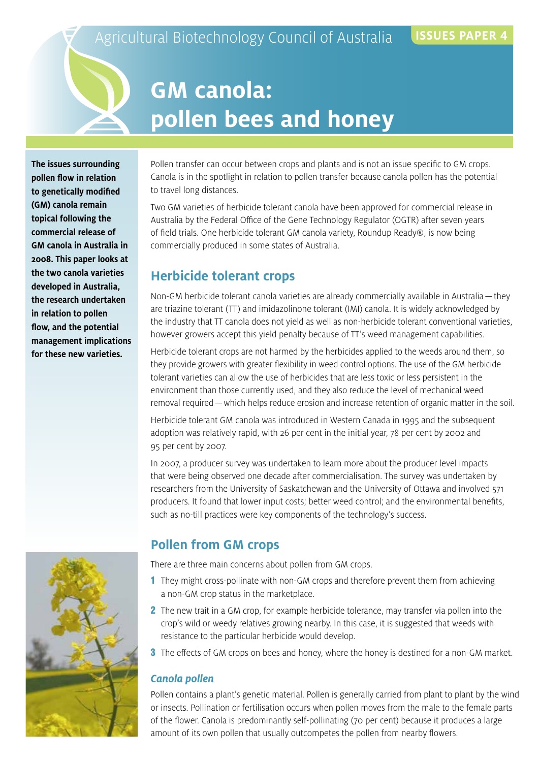## Agricultural Biotechnology Council of Australia **ISSUES PAPER**

# **GM canola: pollen bees and honey**

**The issues surrounding pollen flow in relation to genetically modified (GM) canola remain topical following the commercial release of GM canola in Australia in 2008. This paper looks at the two canola varieties developed in Australia, the research undertaken in relation to pollen flow, and the potential management implications for these new varieties.**

Pollen transfer can occur between crops and plants and is not an issue specific to GM crops. Canola is in the spotlight in relation to pollen transfer because canola pollen has the potential to travel long distances.

Two GM varieties of herbicide tolerant canola have been approved for commercial release in Australia by the Federal Office of the Gene Technology Regulator (OGTR) after seven years of field trials. One herbicide tolerant GM canola variety, Roundup Ready®, is now being commercially produced in some states of Australia.

## **Herbicide tolerant crops**

Non-GM herbicide tolerant canola varieties are already commercially available in Australia—they are triazine tolerant (TT) and imidazolinone tolerant (IMI) canola. It is widely acknowledged by the industry that TT canola does not yield as well as non-herbicide tolerant conventional varieties, however growers accept this yield penalty because of TT's weed management capabilities.

Herbicide tolerant crops are not harmed by the herbicides applied to the weeds around them, so they provide growers with greater flexibility in weed control options. The use of the GM herbicide tolerant varieties can allow the use of herbicides that are less toxic or less persistent in the environment than those currently used, and they also reduce the level of mechanical weed removal required—which helps reduce erosion and increase retention of organic matter in the soil.

Herbicide tolerant GM canola was introduced in Western Canada in 1995 and the subsequent adoption was relatively rapid, with 26 per cent in the initial year, 78 per cent by 2002 and 95 per cent by 2007.

In 2007, a producer survey was undertaken to learn more about the producer level impacts that were being observed one decade after commercialisation. The survey was undertaken by researchers from the University of Saskatchewan and the University of Ottawa and involved 571 producers. It found that lower input costs; better weed control; and the environmental benefits, such as no-till practices were key components of the technology's success.

## **Pollen from GM crops**

There are three main concerns about pollen from GM crops.

- 1 They might cross-pollinate with non-GM crops and therefore prevent them from achieving a non-GM crop status in the marketplace.
- 2 The new trait in a GM crop, for example herbicide tolerance, may transfer via pollen into the crop's wild or weedy relatives growing nearby. In this case, it is suggested that weeds with resistance to the particular herbicide would develop.
- **3** The effects of GM crops on bees and honey, where the honey is destined for a non-GM market.

#### *Canola pollen*

Pollen contains a plant's genetic material. Pollen is generally carried from plant to plant by the wind or insects. Pollination or fertilisation occurs when pollen moves from the male to the female parts of the flower. Canola is predominantly self-pollinating (70 per cent) because it produces a large amount of its own pollen that usually outcompetes the pollen from nearby flowers.

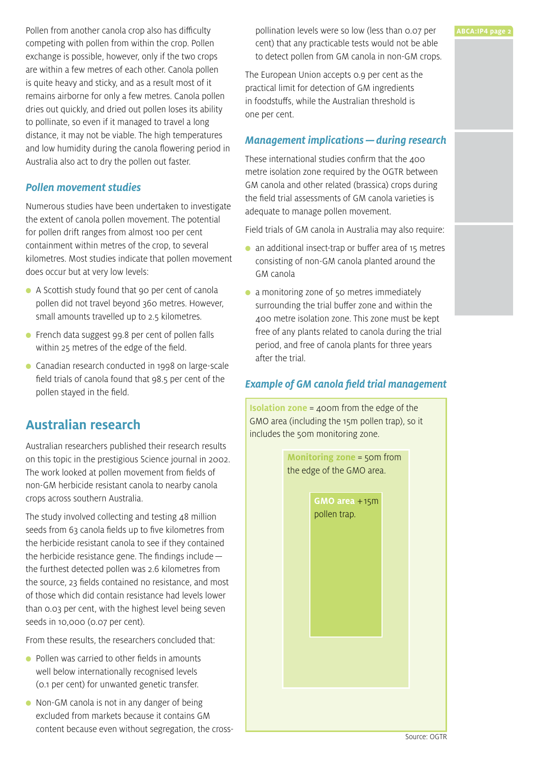Pollen from another canola crop also has difficulty competing with pollen from within the crop. Pollen exchange is possible, however, only if the two crops are within a few metres of each other. Canola pollen is quite heavy and sticky, and as a result most of it remains airborne for only a few metres. Canola pollen dries out quickly, and dried out pollen loses its ability to pollinate, so even if it managed to travel a long distance, it may not be viable. The high temperatures and low humidity during the canola flowering period in Australia also act to dry the pollen out faster.

#### *Pollen movement studies*

Numerous studies have been undertaken to investigate the extent of canola pollen movement. The potential for pollen drift ranges from almost 100 per cent containment within metres of the crop, to several kilometres. Most studies indicate that pollen movement does occur but at very low levels:

- A Scottish study found that 90 per cent of canola pollen did not travel beyond 360 metres. However, small amounts travelled up to 2.5 kilometres.
- French data suggest 99.8 per cent of pollen falls within 25 metres of the edge of the field.
- Canadian research conducted in 1998 on large-scale field trials of canola found that 98.5 per cent of the pollen stayed in the field.

## **Australian research**

Australian researchers published their research results on this topic in the prestigious Science journal in 2002. The work looked at pollen movement from fields of non-GM herbicide resistant canola to nearby canola crops across southern Australia.

The study involved collecting and testing 48 million seeds from 63 canola fields up to five kilometres from the herbicide resistant canola to see if they contained the herbicide resistance gene. The findings include the furthest detected pollen was 2.6 kilometres from the source, 23 fields contained no resistance, and most of those which did contain resistance had levels lower than 0.03 per cent, with the highest level being seven seeds in 10,000 (0.07 per cent).

From these results, the researchers concluded that:

- Pollen was carried to other fields in amounts well below internationally recognised levels (0.1 per cent) for unwanted genetic transfer.
- Non-GM canola is not in any danger of being excluded from markets because it contains GM content because even without segregation, the cross-

pollination levels were so low (less than 0.07 per cent) that any practicable tests would not be able to detect pollen from GM canola in non-GM crops.

The European Union accepts 0.9 per cent as the practical limit for detection of GM ingredients in foodstuffs, while the Australian threshold is one per cent.

#### *Management implications—during research*

These international studies confirm that the 400 metre isolation zone required by the OGTR between GM canola and other related (brassica) crops during the field trial assessments of GM canola varieties is adequate to manage pollen movement.

Field trials of GM canola in Australia may also require:

- an additional insect-trap or buffer area of 15 metres consisting of non-GM canola planted around the GM canola
- a monitoring zone of 50 metres immediately surrounding the trial buffer zone and within the 400 metre isolation zone. This zone must be kept free of any plants related to canola during the trial period, and free of canola plants for three years after the trial.

#### *Example of GM canola field trial management*

**Isolation zone** = 400m from the edge of the GMO area (including the 15m pollen trap), so it includes the 50m monitoring zone.

> **Monitoring zone** = 50m from the edge of the GMO area.

> > **GMO area** +15m pollen trap.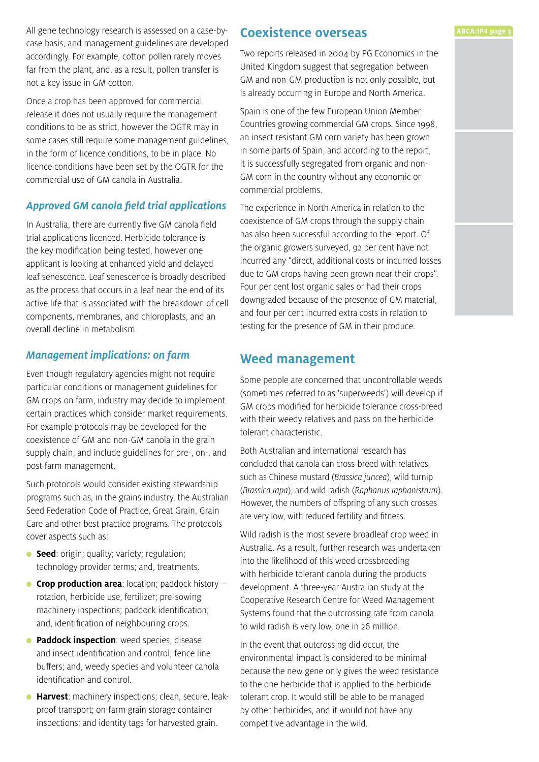All gene technology research is assessed on a case-bycase basis, and management guidelines are developed accordingly. For example, cotton pollen rarely moves far from the plant, and, as a result, pollen transfer is not a key issue in GM cotton.

Once a crop has been approved for commercial release it does not usually require the management conditions to be as strict, however the OGTR may in some cases still require some management guidelines, in the form of licence conditions, to be in place. No licence conditions have been set by the OGTR for the commercial use of GM canola in Australia.

#### *Approved GM canola field trial applications*

In Australia, there are currently five GM canola field trial applications licenced. Herbicide tolerance is the key modification being tested, however one applicant is looking at enhanced yield and delayed leaf senescence. Leaf senescence is broadly described as the process that occurs in a leaf near the end of its active life that is associated with the breakdown of cell components, membranes, and chloroplasts, and an overall decline in metabolism.

#### *Management implications: on farm*

Even though regulatory agencies might not require particular conditions or management guidelines for GM crops on farm, industry may decide to implement certain practices which consider market requirements. For example protocols may be developed for the coexistence of GM and non-GM canola in the grain supply chain, and include guidelines for pre-, on-, and post-farm management.

Such protocols would consider existing stewardship programs such as, in the grains industry, the Australian Seed Federation Code of Practice, Great Grain, Grain Care and other best practice programs. The protocols cover aspects such as:

- **Seed**: origin; quality; variety; regulation; technology provider terms; and, treatments.
- **Crop production area**: location; paddock history rotation, herbicide use, fertilizer; pre-sowing machinery inspections; paddock identification; and, identification of neighbouring crops.
- **Paddock inspection**: weed species, disease and insect identification and control; fence line buffers; and, weedy species and volunteer canola identification and control.
- **Harvest**: machinery inspections; clean, secure, leakproof transport; on-farm grain storage container inspections; and identity tags for harvested grain.

#### **Coexistence overseas**

Two reports released in 2004 by PG Economics in the United Kingdom suggest that segregation between GM and non-GM production is not only possible, but is already occurring in Europe and North America.

Spain is one of the few European Union Member Countries growing commercial GM crops. Since 1998, an insect resistant GM corn variety has been grown in some parts of Spain, and according to the report, it is successfully segregated from organic and non-GM corn in the country without any economic or commercial problems.

The experience in North America in relation to the coexistence of GM crops through the supply chain has also been successful according to the report. Of the organic growers surveyed, 92 per cent have not incurred any "direct, additional costs or incurred losses due to GM crops having been grown near their crops". Four per cent lost organic sales or had their crops downgraded because of the presence of GM material, and four per cent incurred extra costs in relation to testing for the presence of GM in their produce.

#### **Weed management**

Some people are concerned that uncontrollable weeds (sometimes referred to as 'superweeds') will develop if GM crops modified for herbicide tolerance cross-breed with their weedy relatives and pass on the herbicide tolerant characteristic.

Both Australian and international research has concluded that canola can cross-breed with relatives such as Chinese mustard (*Brassica juncea*), wild turnip (*Brassica rapa*), and wild radish (*Raphanus raphanistrum*). However, the numbers of offspring of any such crosses are very low, with reduced fertility and fitness.

Wild radish is the most severe broadleaf crop weed in Australia. As a result, further research was undertaken into the likelihood of this weed crossbreeding with herbicide tolerant canola during the products development. A three-year Australian study at the Cooperative Research Centre for Weed Management Systems found that the outcrossing rate from canola to wild radish is very low, one in 26 million.

In the event that outcrossing did occur, the environmental impact is considered to be minimal because the new gene only gives the weed resistance to the one herbicide that is applied to the herbicide tolerant crop. It would still be able to be managed by other herbicides, and it would not have any competitive advantage in the wild.

#### **ABCA:IP4 page 3**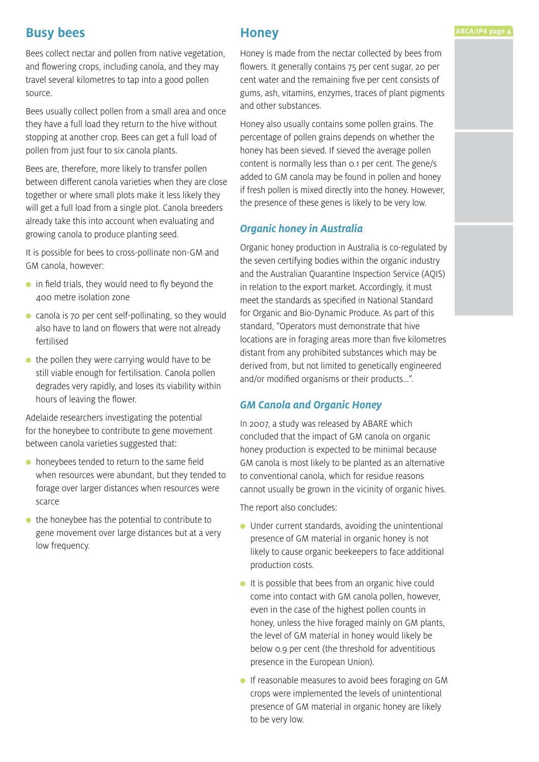## **Busy bees**

Bees collect nectar and pollen from native vegetation, and flowering crops, including canola, and they may travel several kilometres to tap into a good pollen source.

Bees usually collect pollen from a small area and once they have a full load they return to the hive without stopping at another crop. Bees can get a full load of pollen from just four to six canola plants.

Bees are, therefore, more likely to transfer pollen between different canola varieties when they are close together or where small plots make it less likely they will get a full load from a single plot. Canola breeders already take this into account when evaluating and growing canola to produce planting seed.

It is possible for bees to cross-pollinate non-GM and GM canola, however:

- $\bullet$  in field trials, they would need to fly beyond the 400 metre isolation zone
- canola is 70 per cent self-pollinating, so they would also have to land on flowers that were not already fertilised
- $\bullet$  the pollen they were carrying would have to be still viable enough for fertilisation. Canola pollen degrades very rapidly, and loses its viability within hours of leaving the flower.

Adelaide researchers investigating the potential for the honeybee to contribute to gene movement between canola varieties suggested that:

- $\bullet$  honeybees tended to return to the same field when resources were abundant, but they tended to forage over larger distances when resources were scarce
- $\bullet$  the honeybee has the potential to contribute to gene movement over large distances but at a very low frequency.

### **Honey**

Honey is made from the nectar collected by bees from flowers. It generally contains 75 per cent sugar, 20 per cent water and the remaining five per cent consists of gums, ash, vitamins, enzymes, traces of plant pigments and other substances.

Honey also usually contains some pollen grains. The percentage of pollen grains depends on whether the honey has been sieved. If sieved the average pollen content is normally less than 0.1 per cent. The gene/s added to GM canola may be found in pollen and honey if fresh pollen is mixed directly into the honey. However, the presence of these genes is likely to be very low.

#### *Organic honey in Australia*

Organic honey production in Australia is co-regulated by the seven certifying bodies within the organic industry and the Australian Quarantine Inspection Service (AQIS) in relation to the export market. Accordingly, it must meet the standards as specified in National Standard for Organic and Bio-Dynamic Produce. As part of this standard, "Operators must demonstrate that hive locations are in foraging areas more than five kilometres distant from any prohibited substances which may be derived from, but not limited to genetically engineered and/or modified organisms or their products...".

#### *GM Canola and Organic Honey*

In 2007, a study was released by ABARE which concluded that the impact of GM canola on organic honey production is expected to be minimal because GM canola is most likely to be planted as an alternative to conventional canola, which for residue reasons cannot usually be grown in the vicinity of organic hives.

The report also concludes:

- Under current standards, avoiding the unintentional presence of GM material in organic honey is not likely to cause organic beekeepers to face additional production costs.
- It is possible that bees from an organic hive could come into contact with GM canola pollen, however, even in the case of the highest pollen counts in honey, unless the hive foraged mainly on GM plants, the level of GM material in honey would likely be below 0.9 per cent (the threshold for adventitious presence in the European Union).
- If reasonable measures to avoid bees foraging on GM crops were implemented the levels of unintentional presence of GM material in organic honey are likely to be very low.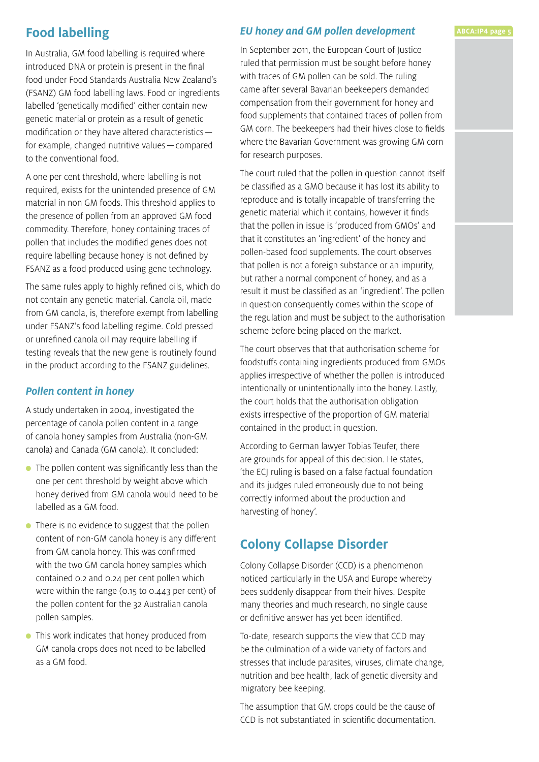## **Food labelling**

In Australia, GM food labelling is required where introduced DNA or protein is present in the final food under Food Standards Australia New Zealand's (FSANZ) GM food labelling laws. Food or ingredients labelled 'genetically modified' either contain new genetic material or protein as a result of genetic modification or they have altered characteristics for example, changed nutritive values—compared to the conventional food.

A one per cent threshold, where labelling is not required, exists for the unintended presence of GM material in non GM foods. This threshold applies to the presence of pollen from an approved GM food commodity. Therefore, honey containing traces of pollen that includes the modified genes does not require labelling because honey is not defined by FSANZ as a food produced using gene technology.

The same rules apply to highly refined oils, which do not contain any genetic material. Canola oil, made from GM canola, is, therefore exempt from labelling under FSANZ's food labelling regime. Cold pressed or unrefined canola oil may require labelling if testing reveals that the new gene is routinely found in the product according to the FSANZ guidelines.

#### *Pollen content in honey*

A study undertaken in 2004, investigated the percentage of canola pollen content in a range of canola honey samples from Australia (non-GM canola) and Canada (GM canola). It concluded:

- The pollen content was significantly less than the one per cent threshold by weight above which honey derived from GM canola would need to be labelled as a GM food.
- There is no evidence to suggest that the pollen content of non-GM canola honey is any different from GM canola honey. This was confirmed with the two GM canola honey samples which contained 0.2 and 0.24 per cent pollen which were within the range (0.15 to 0.443 per cent) of the pollen content for the 32 Australian canola pollen samples.
- This work indicates that honey produced from GM canola crops does not need to be labelled as a GM food.

#### *EU honey and GM pollen development*

In September 2011, the European Court of Justice ruled that permission must be sought before honey with traces of GM pollen can be sold. The ruling came after several Bavarian beekeepers demanded compensation from their government for honey and food supplements that contained traces of pollen from GM corn. The beekeepers had their hives close to fields where the Bavarian Government was growing GM corn for research purposes.

The court ruled that the pollen in question cannot itself be classified as a GMO because it has lost its ability to reproduce and is totally incapable of transferring the genetic material which it contains, however it finds that the pollen in issue is 'produced from GMOs' and that it constitutes an 'ingredient' of the honey and pollen-based food supplements. The court observes that pollen is not a foreign substance or an impurity, but rather a normal component of honey, and as a result it must be classified as an 'ingredient'. The pollen in question consequently comes within the scope of the regulation and must be subject to the authorisation scheme before being placed on the market.

The court observes that that authorisation scheme for foodstuffs containing ingredients produced from GMOs applies irrespective of whether the pollen is introduced intentionally or unintentionally into the honey. Lastly, the court holds that the authorisation obligation exists irrespective of the proportion of GM material contained in the product in question.

According to German lawyer Tobias Teufer, there are grounds for appeal of this decision. He states, 'the ECJ ruling is based on a false factual foundation and its judges ruled erroneously due to not being correctly informed about the production and harvesting of honey'.

## **Colony Collapse Disorder**

Colony Collapse Disorder (CCD) is a phenomenon noticed particularly in the USA and Europe whereby bees suddenly disappear from their hives. Despite many theories and much research, no single cause or definitive answer has yet been identified.

To-date, research supports the view that CCD may be the culmination of a wide variety of factors and stresses that include parasites, viruses, climate change, nutrition and bee health, lack of genetic diversity and migratory bee keeping.

The assumption that GM crops could be the cause of CCD is not substantiated in scientific documentation.